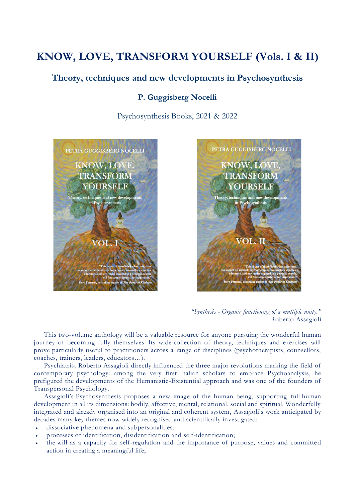# **KNOW, LOVE, TRANSFORM YOURSELF (Vols. I & II)**

# **Theory, techniques and new developments in Psychosynthesis**

### **P. Guggisberg Nocelli**

Psychosynthesis Books, 2021 & 2022





*<sup>&</sup>quot;Synthesis - Organic functioning of a multiple unity."* Roberto Assagioli

This two-volume anthology will be a valuable resource for anyone pursuing the wonderful human journey of becoming fully themselves. Its wide collection of theory, techniques and exercises will prove particularly useful to practitioners across a range of disciplines (psychotherapists, counsellors, coaches, trainers, leaders, educators…).

Psychiatrist Roberto Assagioli directly influenced the three major revolutions marking the field of contemporary psychology: among the very first Italian scholars to embrace Psychoanalysis, he prefigured the developments of the Humanistic-Existential approach and was one of the founders of Transpersonal Psychology.

Assagioli's Psychosynthesis proposes a new image of the human being, supporting full human development in all its dimensions: bodily, affective, mental, relational, social and spiritual. Wonderfully integrated and already organised into an original and coherent system, Assagioli's work anticipated by decades many key themes now widely recognised and scientifically investigated:

- dissociative phenomena and subpersonalities;
- processes of identification, disidentification and self-identification;
- the will as a capacity for self-regulation and the importance of purpose, values and committed action in creating a meaningful life;